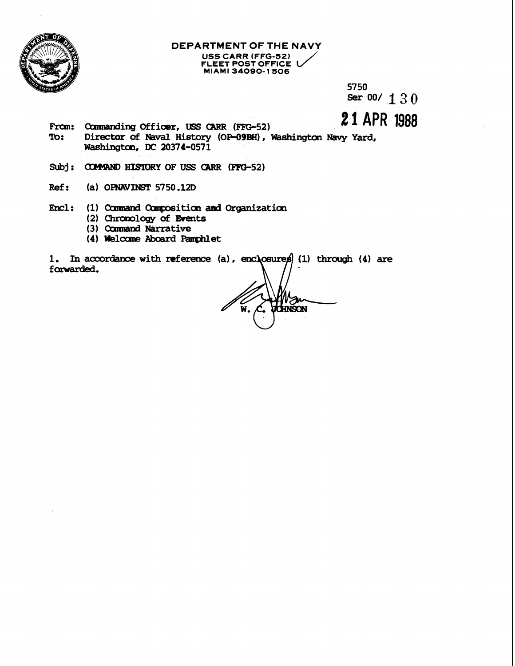

## DEPARTMENT OF THE NAVY USS CARR (FFG-52) FLEET POST OFFICE

5750 Ser 00/ 1 3 0

# 21 APR 1988

- From: Commanding Officer, USS CARR (FFG-52) To: Director of Naval History (OP-09BH), Washington Navy Yard, Washington, DC 20374-0571
- Subj: COMMAND HISTORY OF USS CARR (FFG-52)
- $Ref:$ (a) OPNAVINST 5750.12D
- Encl: (1) Command Composition and Organization (2) Chronology of Events
	- (3) Command Narrative
	- (4) Welcome Aboard Pamphlet

1. In accordance with reference (a), enclosures (1) through (4) are forwarded.

a **HATI**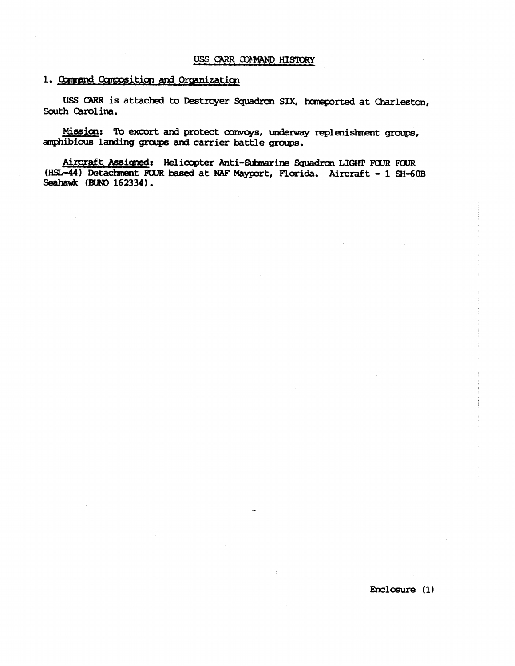#### 1. Command Composition and Organization

USS CARR is attached to Destroyer Squadron SIX, homeported at Charleston, **Sauth Carolina.** 

**Wission:** To excort and protect convoys, underway replenishment groups, amphibious landing groups and carrier battle groups.

Aircraft Assigned: Helicopter Anti-Submarine Squadron LIGHT FOUR FOUR (HSL-44) Detachment FOUR based at NAF Mayport, Florida. Aircraft - 1 SH-60B Seahawk (BUNO 162334).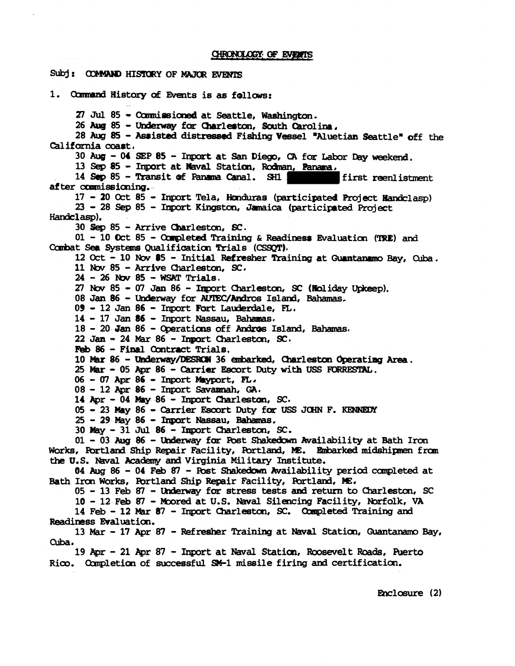### Subj: COMMAND HISTORY OF MAJOR EVENTS **1.** Ccnmand History **of** Events is **as** follows: 27 Jul 85 - Commissioned at Seattle, Washington. **<sup>26</sup>ktg <sup>85</sup>**- **far** Cbarlertcm, **Sauth** Carolina, 28 Aug 85 - Assisted distressed Fishing Vessel "Aluetian Seattle" off the California coast, **<sup>30</sup>Aug** - **04 SEP 85** - Inport at **San** Diego, **C?i** for Labor **Day** wdced, **13 Seg <sup>85</sup>**- **Inport** at **Wal** Statim, **Rdman, Panaara, 14** Sep 85 - Transit of Panama Canal. SH1 after **cunnissiming.**  17 - 20 Oct 85 - Inport Tela, Honduras (participated Project Handclasp) **<sup>23</sup>**- **28 Sep 85** - Inport **Kingstoll,** Jmaica (participated Project **Handclasp). <sup>30</sup>***Sep* **<sup>85</sup>**- Arrive Ckarleston, **SC. <sup>01</sup>**- **10** kt **85** - Gm@leted Training & **Readiness** Evaluation ('IRE) **and**  Cambat **Sea** Systems Qualification Trials **(CSSQT).**  12 Oct - 10 Nov 85 - Initial Refresher Training at Guantanamo Bay, Cuba.  $11$  Nov  $85$  - Arrive Charleston, SC. **<sup>24</sup>**- **26 hbv 85** - **WSff** Trials. <sup>27</sup>**Nw 85** - **07 Jan 86** - &port Charlestcm, **SC** (Roliday **ftpreep).**  08 **Jan 86 - Underway for AUTEC/Andros Island, Bahamas.** <sup>09</sup>- **12 Jan 86** - Iqmrt **Fort Laudezdale, FL, <sup>14</sup>**- **17 Jan 86** - fnpart **Nassau,** Bahamas. **14 - 17 Jan 86 - Inport Nassau, Bahamas.**<br>18 - 20 Jan 86 - Operations off Andros Island, Bahamas.<br>22 Jan - 24 Mar 86 - Inport Charleston, SC.<br>Fob 96 - Final Contract Trials. **Feb** <sup>86</sup>- Final Gmtract Trials, 10 Mar 86 - Underway/DESRON 36 embarked, Charleston Operating Area. **<sup>25</sup>Mm** - **<sup>05</sup>Apr <sup>86</sup>**- Carrier Escort Duty with **USS** FDiRRESTAL. **<sup>06</sup>**- **07 Apr 86** - **Inport** mrt, **FL. <sup>08</sup>**- **<sup>12</sup>Apr <sup>86</sup>**- **Inport Savannah, GA\***  14 Apr - 04 May 86 - Inport Charleston, SC. **05** - **04 May 86 - Inport Charleston, SC.**<br>05 - 23 May 86 - Carrier Escort Duty for USS JOHN F. KENNEDY<br>25 - 29 May 86 - Import Nassau, Bahamas.<br>30 May - 31 Jul 86 - Import Charleston, SC. **30 May** - **31** Jul **86** - **fmgort** Cbarle~tcn, **SC. <sup>01</sup>**- **<sup>03</sup>Aug <sup>86</sup>**- *Udemay* **far** Pbst **Shalcedokln** Availability at Bath Iran **Works, Ebrtland** Ship Repair Facility, Wtland, **IS. \*ked midehipmn** f roar **the U.S.** Wal **Academy ad** Virginia Mili&uy Institute. **04** Aug 86 - 04 Feb 87 - Post Shakedown Availability period completed at Bath Iron Works, Portland Ship Repair Facility, Portland, ME. **<sup>05</sup>**- **13 Feb 87** - lMemay for stress tests **and** return to Charlestcn, **SC**  10 - 12 Feb 87 - Moored at U.S. Naval Silencing Facility, Norfolk, VA 14 Feb - 12 Mar 87 - Inport Charleston, SC. Completed Training and Readiness Evaluation. **<sup>13</sup>***Mar* - **<sup>17</sup>Apr** <sup>87</sup>- Refresher Training at **Naval** Station, Guantanam Bay, Cuba. 19 Apr - 21 Apr 87 - Inport at Naval Station, Roosevelt Roads, Puerto Rico. Completion of successful SM-1 missile firing and certification.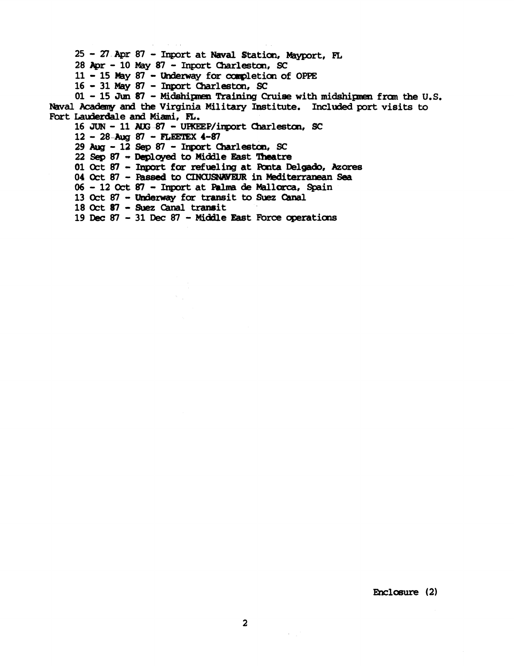25 - 27 Apr 87 - Inport at Naval Station, Mayport, FL

28 Apr - 10 May 87 - Inport Charleston, SC

11 - 15 May 87 - Underway for completion of OPPE

16 - 31 May 87 - Inport Charleston, SC

 $01 - 15$  Jun 87 - Midshipmen Training Cruise with midshipmen from the U.S. Naval Academy and the Virginia Military Institute. Included port visits to Fort Lauderdale and Miami, FL.

16 JUN - 11 AUG-87 - UPKEEP/inport Charleston, SC

12 - 28-Aug 87 - FLEETEX 4-87

29 Aug - 12 Sep 87 - Inport Charleston, SC

22 Sep 87 - Deployed to Middle East Theatre

01 Oct 87 - Inport for refueling at Ponta Delgado, Azores

04 Oct 87 - Passed to CINCUSNAVEUR in Mediterranean Sea

06 - 12 Oct 87 - Import at Palma de Mallorca, Spain

13 Oct 87 - Underway for transit to Suez Canal

18 Oct 87 - Suez Canal transit

19 Dec 87 - 31 Dec 87 - Middle East Force operations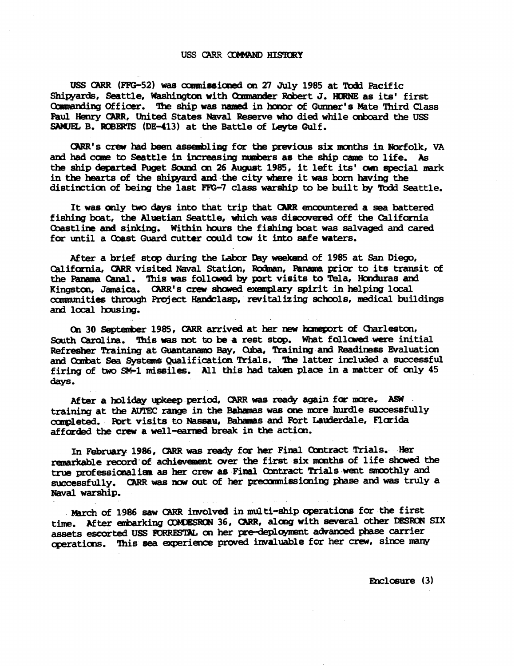#### USS CARR COMMAND HISTORY

USS CARR (FFG-52) was commissioned on 27 July 1985 at Todd Pacific Shipyards, Seattle, Washington with Commander Robert J. HORNE as its' first Commanding Officer. The ship was named in honor of Gunner's Mate Third Class Paul Henry CARR, United States Naval Reserve who died while onboard the USS SAMUEL B. ROBERTS (DE-413) at the Battle of Leyte Gulf.

CARR's crew had been assembling for the previous six months in Norfolk. VA and had come to Seattle in increasing numbers as the ship came to life. As the ship departed Puget Sound on 26 August 1985, it left its' own special mark in the hearts of the shipyard and the city where it was born having the distinction of being the last FFG-7 class warship to be built by Todd Seattle.

It was only two days into that trip that CARR encountered a sea battered fishing boat, the Aluetian Seattle, which was discovered off the California Coastline and sinking. Within hours the fishing boat was salvaged and cared for until a Coast Guard cutter could tow it into safe waters.

After a brief stop during the Labor Day weekend of 1985 at San Diego, California, CARR visited Naval Station, Rodman, Panama prior to its transit of the Panama Canal. This was followed by port visits to Tela, Honduras and Kingston, Jamaica. CARR's crew showed exemplary spirit in helping local communities through Project Handclasp, revitalizing schools, medical buildings and local housing.

On 30 September 1985, CARR arrived at her new homeport of Charleston, South Carolina. This was not to be a rest stop. What followed were initial Refresher Training at Guantanamo Bay, Ouba, Training and Readiness Evaluation and Combat Sea Systems Qualification Trials. The latter included a successful firing of two SM-1 missiles. All this had taken place in a matter of only 45 days.

After a holiday upkeep period, CARR was ready again for more. ASW training at the AUTEC range in the Bahamas was one more hurdle successfully completed. Port visits to Nassau, Bahamas and Fort Lauderdale, Florida afforded the crew a well-earned break in the action.

In February 1986, CARR was ready for her Final Contract Trials. Her remarkable record of achievement over the first six months of life showed the true professionalism as her crew as Final Contract Trials went smoothly and successfully. CARR was now out of her precommissioning phase and was truly a Naval warship.

March of 1986 saw CARR involved in multi-ship operations for the first time. After embarking COMDESRON 36, CARR, along with several other DESRON SIX assets escorted USS FORRESTAL on her pre-deployment advanced phase carrier operations. This sea experience proved invaluable for her crew, since many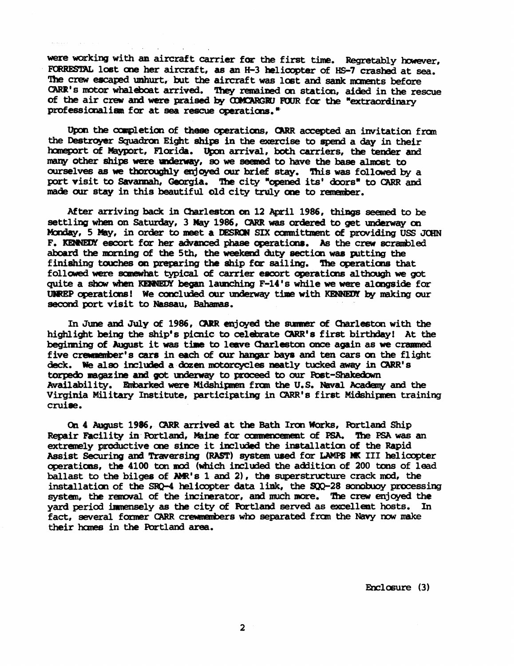were working with an aircraft carrier for the first time. Regretably however, FORRESTAL lost one her aircraft, as an H-3 helicopter of HS-7 crashed at sea. The crew escaped unhurt, but the aircraft was lost and sank moments before CARR's motor whaleboat arrived. They remained on station, aided in the rescue of the air crew and were praised by COMCARGRU FOUR for the "extraordinary professionalism for at sea rescue operations."

Upon the completion of these operations, CARR accepted an invitation from the Destroyer Squadron Eight ships in the exercise to spend a day in their homeport of Mayport, Florida. Upon arrival, both carriers, the tender and many other ships were underway, so we seemed to have the base almost to ourselves as we thoroughly enjoyed our brief stay. This was followed by a port visit to Savannah, Georgia. The city "opened its' doors" to CARR and made our stay in this beautiful old city truly one to remember.

After arriving back in Charleston on 12 April 1986, things seemed to be settling when on Saturday, 3 May 1986, CARR was ordered to get underway on Monday, 5 May, in order to meet a DESRON SIX committment of providing USS JOHN F. KENNEDY escort for her advanced phase operations. As the crew scrambled aboard the morning of the 5th, the weekend duty section was putting the finishing touches on preparing the ship for sailing. The operations that followed were somewhat typical of carrier escort operations although we got quite a show when KENNEDY began launching F-14's while we were alongside for UNREP operations! We concluded our underway time with KENNEDY by making our second port visit to Nassau, Bahamas.

In June and July of 1986, CARR enjoyed the summer of Charleston with the highlight being the ship's picnic to celebrate CARR's first birthday! At the beginning of August it was time to leave Charleston once again as we crammed five creamenter's cars in each of our hangar bays and ten cars on the flight deck. We also included a dozen motorcycles neatly tucked away in CARR's torpedo magazine and got underway to proceed to our Post-Shakedown Availability. Embarked were Midshipmen from the U.S. Naval Academy and the Virginia Military Institute, participating in CARR's first Midshipmen training cruise.

On 4 August 1986, CARR arrived at the Bath Iron Works, Portland Ship Repair Facility in Portland, Maine for commencement of PSA. The PSA was an extremely productive one since it included the installation of the Rapid Assist Securing and Traversing (RAST) system used for LAMPS MK III helicopter operations, the 4100 ton mod (which included the addition of 200 tons of lead ballast to the bilges of AMR's 1 and 2), the superstructure crack mod, the installation of the SRO-4 helicopter data link, the SOO-28 sonobuoy processing system, the removal of the incinerator, and much more. The crew enjoyed the yard period immensely as the city of Fortland served as excellent hosts. In fact, several former CARR crewmembers who separated from the Navy now make their homes in the Portland area.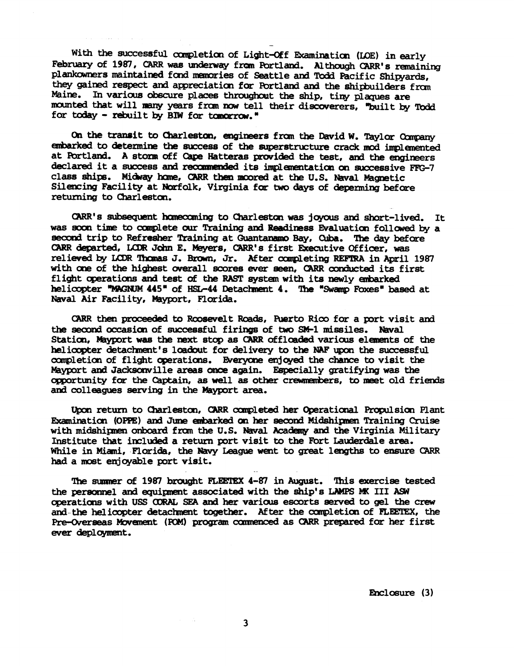With the successful completion of Light-Off Examination (LOE) in early February of 1987, CARR was underway from Portland. Although CARR's remaining plankowners maintained fond memories of Seattle and Todd Pacific Shipyards, they gained respect and appreciation for Portland and the shipbuilders from Maine. In various obscure places throughout the ship, tiny plaques are mounted that will many years from now tell their discoverers, "built by Todd for today - rebuilt by **BIW** for tomorrow."

-

**On** the **transit to** Charleston, **engineers** from the David **W.** Taylor *Oomparry*  **embarked to** &termine the **success** of **the** superstructure **crack IIlod implmented**  at Portland. A stonm off Cape Hatteras provided the test, and the engineers declared it a success and recommended its implementation on successive FFG-7 class **ships. Midkay he, CARR** then **~oored** at th **U.S. Naval** Magaetic Silencing Facility at **Nosfolk,** Virginia **foa two days of wrming before**  returning to Charleston.

**mas** mbequmt **hcmambg** to Charleston **was joyous** and abrt-lived. It was soon time to complete our Training and Readiness Evaluation followed by a **second trip to Refresher Training at Guantanamo Bay, Cuba. The day before** CARR departed, LCDR John E. Meyers, CARR's first Executive Officer, was relieved by **UIlR** lhcrnas J. **Brasn,** Jr. **After** cxxgdeting **REFERA** in April 1987 with **ane** of **the** highst overall **soores ever seen,** CARR mzxkcted **its** first flight operations and test of the RAST system with its newly embarked helicopter "MAGNUM 445" of HSL-44 Detachment 4. The "Swamp Foxes" based at **Naval Air** Facility, Mayport, Florida.

**CARR** then proceeded to Roosevelt Roads, Puerto Rico for a port visit and the second occasion of successful firings of two SM-1 missiles. Naval Station, Mayport was the next stop as CARR offloaded various elements of the helicopter detachment's loadout for delivery to the NAF upon the successful completion of flight operations. Everyone enjoyed the chance to visit the Mayport **ad** Jacksornrille **areas oxace again.** Especially gratifying **was** the opportunity far the **Captain, as** well **as other** c-, to meet old friends aad colleagues **senring** in **the** Hayport area.

Upon return to Charleston, CARR completed her Operational Propulsion Plant Ewmitlation **(OPES) and June \*Iced an her seam3 Hidshipaen** Training **Cruise**  with midshipmen onboard from the U.S. Naval Academy and the Virginia Military Institute that imluded a return port visit to **the** Fbrt Laukrdale area. While in Miami, Florida, the Navy League went to great lengths to ensure CARR had a met enjoyable **port** visit.

The **s\lmrrer of** 1987 brazght **KETEX 4-81** in August. **lhis** exercise tested the personnel and equipment associated with the ship's LAMPS MK III ASW clperatians with **USS** aORAC SEA and **her** variau esoorts **med** to sl **the** crew and **the** helioopter detachrent **together. After the** canpleticn of **FLEETEX, the**  Pre-Overseas Movement (ROM) program commenced as CARR prepared for her first ever deployment.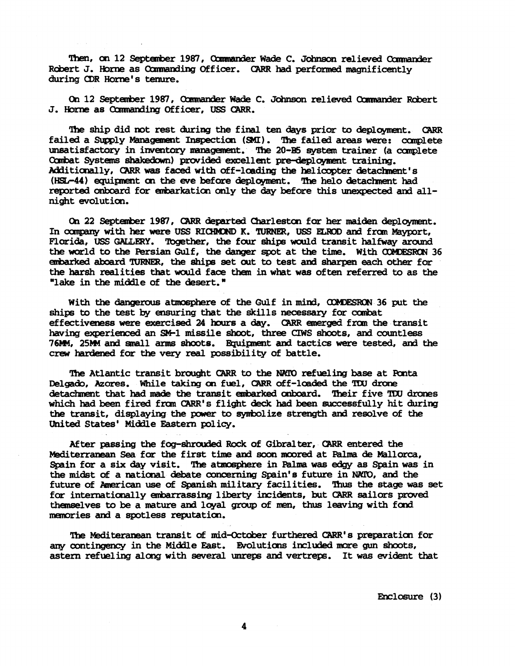Then, on 12 September 1987, Commander Wade C. Johnson relieved Commander Robert J. Horne as Commanding Officer. CARR had performed magnificently during CDR Horne's tenure.

On 12 September 1987, Commander Wade C. Johnson relieved Commander Robert J. Horne as Commanding Officer, USS CARR.

The ship did not rest during the final ten days prior to deployment. CARR failed a Supply Management Inspection (SMI). The failed areas were: complete unsatisfactory in inventory management. The 20-B5 system trainer (a complete Combat Systems shakedown) provided excellent pre-deployment training. Additionally, CARR was faced with off-loading the helicopter detachment's (HSL-44) equipment on the eve before deployment. The helo detachment had reported onboard for embarkation only the day before this unexpected and allnight evolution.

On 22 September 1987, CARR departed Charleston for her maiden deployment. In company with her were USS RICHMOND K. TURNER, USS ELROD and from Mayport, Florida, USS GALLERY. Together, the four ships would transit halfway around the world to the Persian Gulf, the danger spot at the time. With COMDESRON 36 embarked aboard TURNER, the ships set out to test and sharpen each other for the harsh realities that would face them in what was often referred to as the "lake in the middle of the desert."

With the dangerous atmosphere of the Gulf in mind, COMDESRON 36 put the ships to the test by ensuring that the skills necessary for combat effectiveness were exercised 24 hours a day. CARR emerged from the transit having experienced an SM-1 missile shoot, three CIWS shoots, and countless 76MM, 25MM and small arms shoots. Equipment and tactics were tested, and the crew hardened for the very real possibility of battle.

The Atlantic transit brought CARR to the NATO refueling base at Ponta Delgado, Azores. While taking on fuel, CARR off-loaded the TDU drone detachment that had made the transit embarked onboard. Their five TDU drones which had been fired from CARR's flight deck had been successfully hit during the transit, displaying the power to symbolize strength and resolve of the United States' Middle Eastern policy.

After passing the fog-shrouded Rock of Gibralter, CARR entered the Mediterranean Sea for the first time and soon moored at Palma de Mallorca, Spain for a six day visit. The atmosphere in Palma was edgy as Spain was in the midst of a national debate concerning Spain's future in NATO, and the future of American use of Spanish military facilities. Thus the stage was set for internationally embarrassing liberty incidents, but CARR sailors proved themselves to be a mature and loyal group of men, thus leaving with fond memories and a spotless reputation.

The Mediteranean transit of mid-October furthered CARR's preparation for any contingency in the Middle East. Evolutions included more gun shoots, astern refueling along with several unreps and vertreps. It was evident that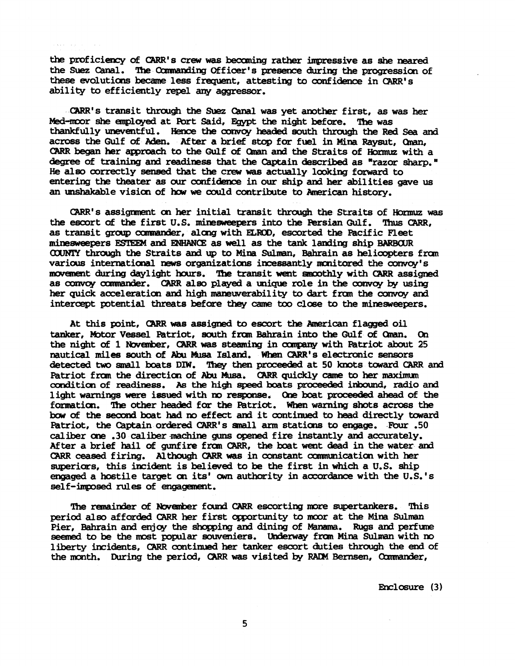the proficiency of CARR's crew was becoming rather impressive as she neared the Suez Canal. The Commanding Officer's presence during the progression of these evolutions became less frequent, attesting to confidence in CARR's ability to efficiently repel any accressor.

CARR's transit through the Suez Canal was yet another first, as was her Med-moor she employed at Port Said, Egypt the night before. The was thankfully uneventful. Hence the convoy headed south through the Red Sea and across the Gulf of Aden. After a brief stop for fuel in Mina Raysut. Oman. CARR began her approach to the Gulf of Oman and the Straits of Hormuz with a degree of training and readiness that the Captain described as "razor sharp." He also correctly sensed that the crew was actually looking forward to entering the theater as our confidence in our ship and her abilities gave us an unshakable vision of how we could contribute to American history.

CARR's assignment on her initial transit through the Straits of Hormuz was the escort of the first U.S. minesweepers into the Persian Gulf. Thus CARR, as transit group commander, along with ELROD, escorted the Pacific Fleet minesweepers ESTEEM and ENHANCE as well as the tank landing ship BARBOUR COUNTY through the Straits and up to Mina Sulman. Bahrain as helicopters from various international news organizations incessantly monitored the convoy's movement during daylight hours. The transit went smoothly with CARR assigned as convoy commander. CARR also played a unique role in the convoy by using her quick acceleration and high maneuverability to dart from the convoy and intercept potential threats before they came too close to the minesweepers.

At this point, CARR was assigned to escort the American flagged oil tanker, Motor Vessel Patriot, south from Bahrain into the Gulf of Oman. On the night of 1 November, CARR was steaming in company with Patriot about 25 nautical miles south of Abu Musa Island. When CARR's electronic sensors detected two small boats DIW. They then proceeded at 50 knots toward CARR and Patriot from the direction of Abu Musa. CARR quickly came to her maximum condition of readiness. As the high speed boats proceeded inbound, radio and light warnings were issued with no response. One boat proceeded ahead of the formation. The other headed for the Patriot. When warning shots across the bow of the second boat had no effect and it continued to head directly toward Patriot, the Captain ordered CARR's small arm stations to engage. Four .50 caliber one .30 caliber machine cums opened fire instantly and accurately. After a brief hail of gunfire from CARR, the boat went dead in the water and CARR ceased firing. Although CARR was in constant communication with her superiors, this incident is believed to be the first in which a U.S. ship engaged a hostile target on its' own authority in accordance with the U.S.'s self-imposed rules of encagement.

The remainder of November found CARR escorting more supertankers. This period also afforded CARR her first opportunity to moor at the Mina Sulman Pier, Bahrain and enjoy the shopping and dining of Manama. Rugs and perfume seemed to be the most popular souveniers. Underway from Mina Sulman with no liberty incidents, CARR continued her tanker escort duties through the end of the month. During the period, CARR was visited by RADM Bernsen, Commander,

Enclosure (3)

5